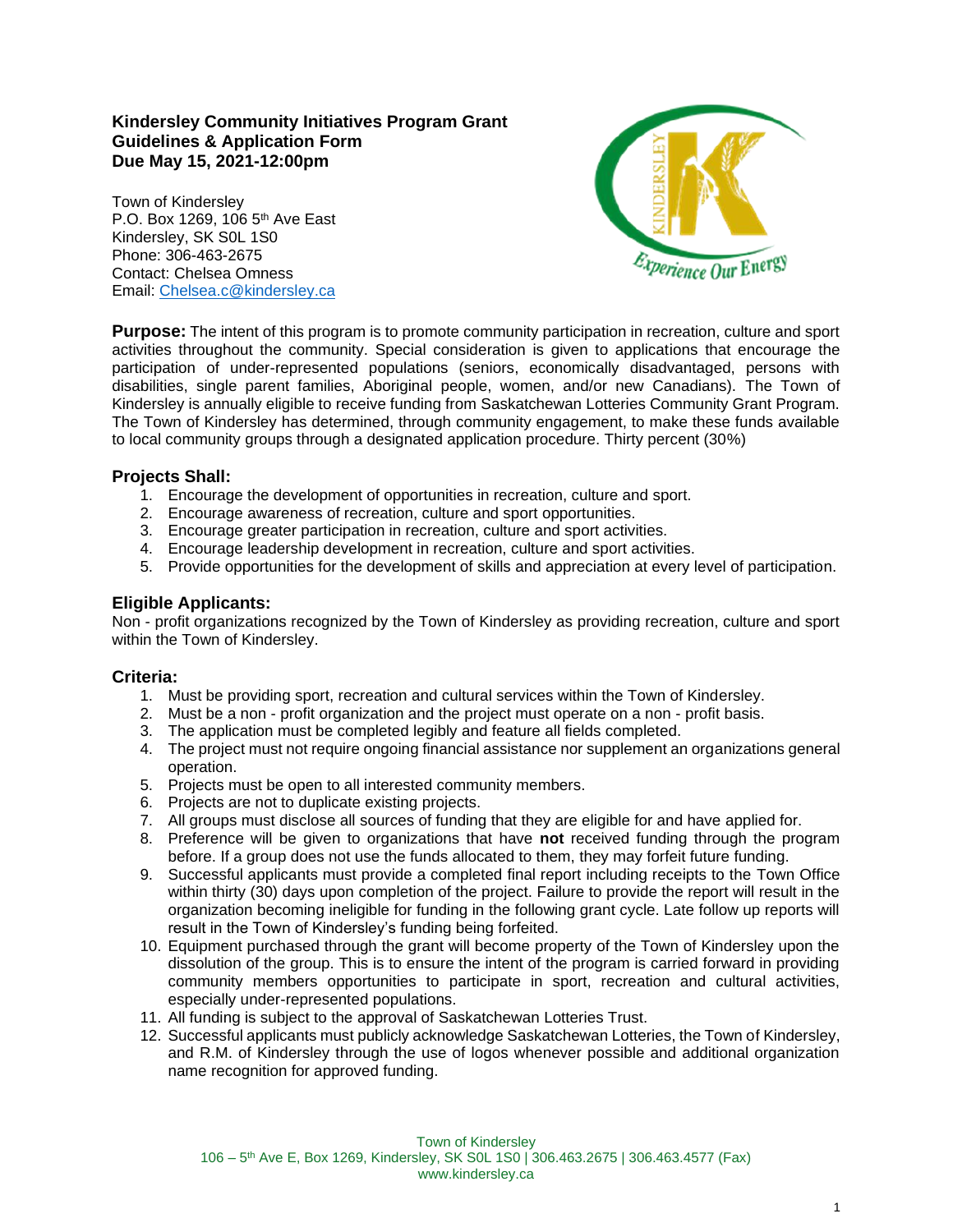### **Kindersley Community Initiatives Program Grant Guidelines & Application Form Due May 15, 2021-12:00pm**

Town of Kindersley P.O. Box 1269, 106 5<sup>th</sup> Ave East Kindersley, SK S0L 1S0 Phone: 306-463-2675 Contact: Chelsea Omness Email: [Chelsea.c@kindersley.ca](mailto:Chelsea.c@kindersley.ca)



**Purpose:** The intent of this program is to promote community participation in recreation, culture and sport activities throughout the community. Special consideration is given to applications that encourage the participation of under-represented populations (seniors, economically disadvantaged, persons with disabilities, single parent families, Aboriginal people, women, and/or new Canadians). The Town of Kindersley is annually eligible to receive funding from Saskatchewan Lotteries Community Grant Program. The Town of Kindersley has determined, through community engagement, to make these funds available to local community groups through a designated application procedure. Thirty percent (30%)

# **Projects Shall:**

- 1. Encourage the development of opportunities in recreation, culture and sport.
- 2. Encourage awareness of recreation, culture and sport opportunities.
- 3. Encourage greater participation in recreation, culture and sport activities.
- 4. Encourage leadership development in recreation, culture and sport activities.
- 5. Provide opportunities for the development of skills and appreciation at every level of participation.

## **Eligible Applicants:**

Non - profit organizations recognized by the Town of Kindersley as providing recreation, culture and sport within the Town of Kindersley.

#### **Criteria:**

- 1. Must be providing sport, recreation and cultural services within the Town of Kindersley.
- 2. Must be a non profit organization and the project must operate on a non profit basis.
- 3. The application must be completed legibly and feature all fields completed.
- 4. The project must not require ongoing financial assistance nor supplement an organizations general operation.
- 5. Projects must be open to all interested community members.
- 6. Projects are not to duplicate existing projects.
- 7. All groups must disclose all sources of funding that they are eligible for and have applied for.
- 8. Preference will be given to organizations that have **not** received funding through the program before. If a group does not use the funds allocated to them, they may forfeit future funding.
- 9. Successful applicants must provide a completed final report including receipts to the Town Office within thirty (30) days upon completion of the project. Failure to provide the report will result in the organization becoming ineligible for funding in the following grant cycle. Late follow up reports will result in the Town of Kindersley's funding being forfeited.
- 10. Equipment purchased through the grant will become property of the Town of Kindersley upon the dissolution of the group. This is to ensure the intent of the program is carried forward in providing community members opportunities to participate in sport, recreation and cultural activities, especially under-represented populations.
- 11. All funding is subject to the approval of Saskatchewan Lotteries Trust.
- 12. Successful applicants must publicly acknowledge Saskatchewan Lotteries, the Town of Kindersley, and R.M. of Kindersley through the use of logos whenever possible and additional organization name recognition for approved funding.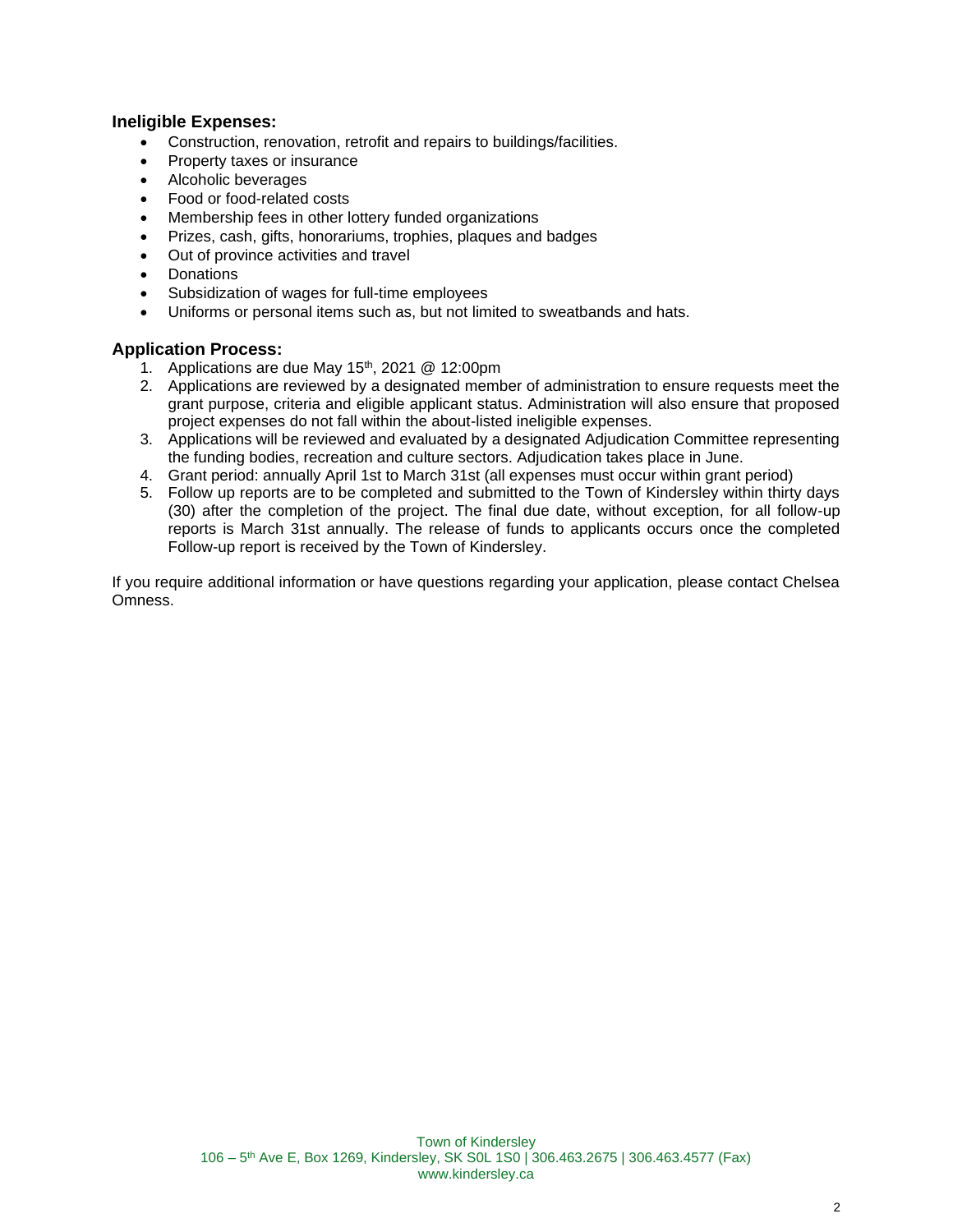## **Ineligible Expenses:**

- Construction, renovation, retrofit and repairs to buildings/facilities.
- Property taxes or insurance
- Alcoholic beverages
- Food or food-related costs
- Membership fees in other lottery funded organizations
- Prizes, cash, gifts, honorariums, trophies, plaques and badges
- Out of province activities and travel
- **Donations**
- Subsidization of wages for full-time employees
- Uniforms or personal items such as, but not limited to sweatbands and hats.

#### **Application Process:**

- 1. Applications are due May  $15<sup>th</sup>$ , 2021 @ 12:00pm
- 2. Applications are reviewed by a designated member of administration to ensure requests meet the grant purpose, criteria and eligible applicant status. Administration will also ensure that proposed project expenses do not fall within the about-listed ineligible expenses.
- 3. Applications will be reviewed and evaluated by a designated Adjudication Committee representing the funding bodies, recreation and culture sectors. Adjudication takes place in June.
- 4. Grant period: annually April 1st to March 31st (all expenses must occur within grant period)
- 5. Follow up reports are to be completed and submitted to the Town of Kindersley within thirty days (30) after the completion of the project. The final due date, without exception, for all follow-up reports is March 31st annually. The release of funds to applicants occurs once the completed Follow-up report is received by the Town of Kindersley.

If you require additional information or have questions regarding your application, please contact Chelsea Omness.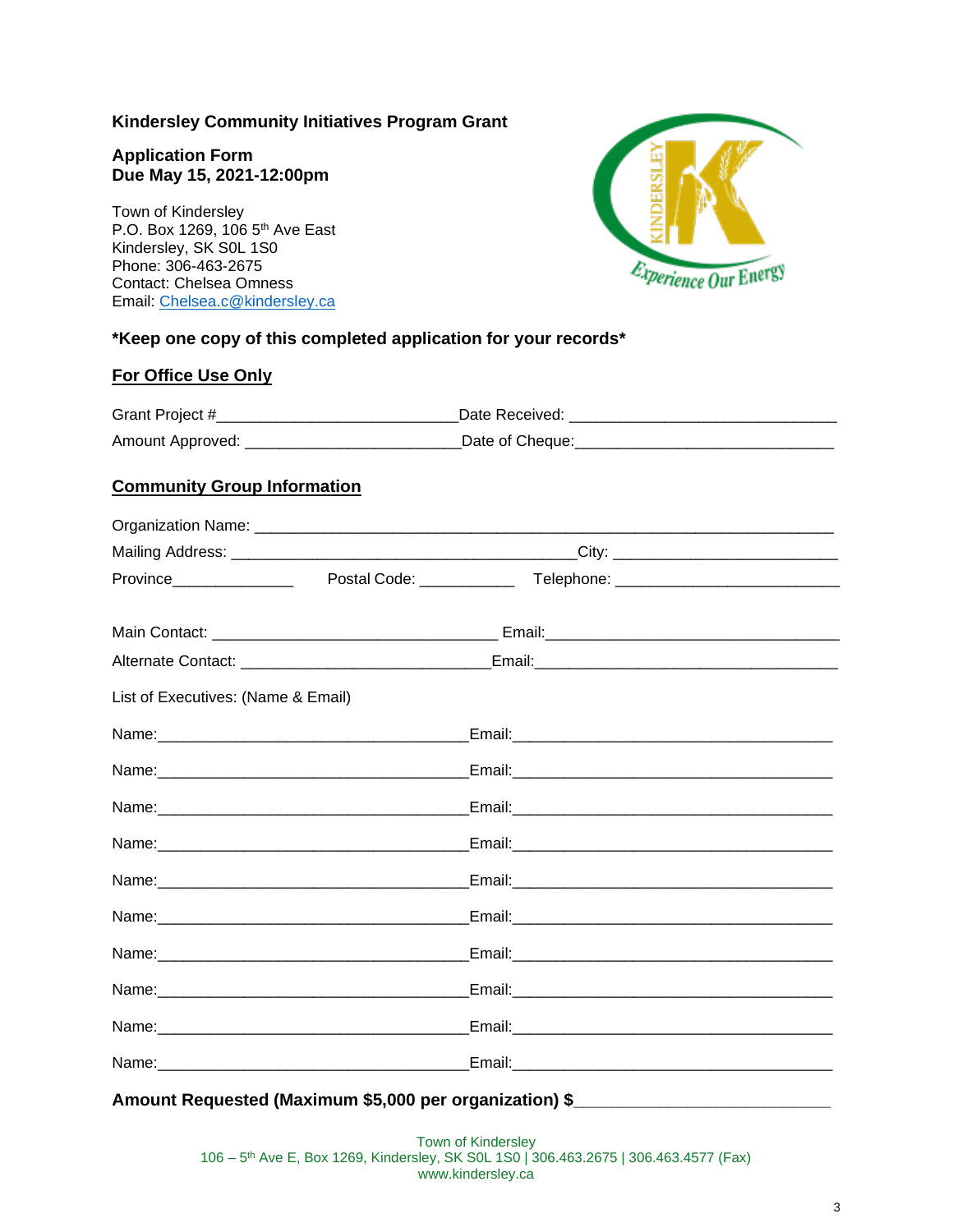## **Kindersley Community Initiatives Program Grant**

### **Application Form Due May 15, 2021-12:00pm**

Town of Kindersley P.O. Box 1269, 106 5<sup>th</sup> Ave East Kindersley, SK S0L 1S0 Phone: 306-463-2675 Contact: Chelsea Omness Email: [Chelsea.c@kindersley.ca](mailto:Chelsea.c@kindersley.ca)



# **\*Keep one copy of this completed application for your records\***

#### **For Office Use Only**

| Grant Project #  | Date Received:  |
|------------------|-----------------|
| Amount Approved: | Date of Cheque: |

## **Community Group Information**

| Province________________           |  |  |
|------------------------------------|--|--|
|                                    |  |  |
|                                    |  |  |
| List of Executives: (Name & Email) |  |  |
|                                    |  |  |
|                                    |  |  |
|                                    |  |  |
|                                    |  |  |
|                                    |  |  |
|                                    |  |  |
|                                    |  |  |
|                                    |  |  |
|                                    |  |  |
|                                    |  |  |

Amount Requested (Maximum \$5,000 per organization) \$

Town of Kindersley 106 – 5 th Ave E, Box 1269, Kindersley, SK S0L 1S0 | 306.463.2675 | 306.463.4577 (Fax) www.kindersley.ca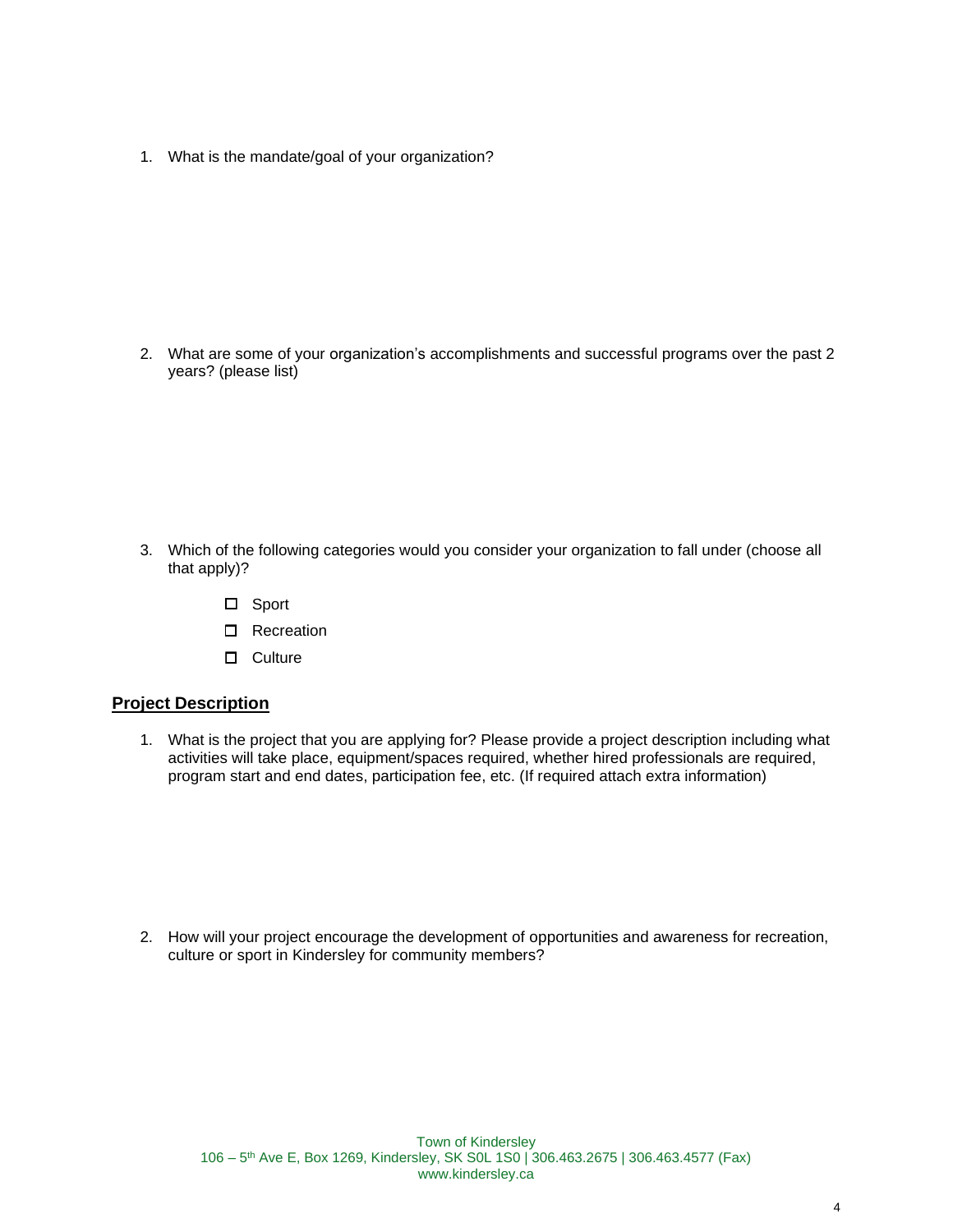1. What is the mandate/goal of your organization?

2. What are some of your organization's accomplishments and successful programs over the past 2 years? (please list)

- 3. Which of the following categories would you consider your organization to fall under (choose all that apply)?
	- □ Sport
	- □ Recreation
	- $\square$  Culture

#### **Project Description**

1. What is the project that you are applying for? Please provide a project description including what activities will take place, equipment/spaces required, whether hired professionals are required, program start and end dates, participation fee, etc. (If required attach extra information)

2. How will your project encourage the development of opportunities and awareness for recreation, culture or sport in Kindersley for community members?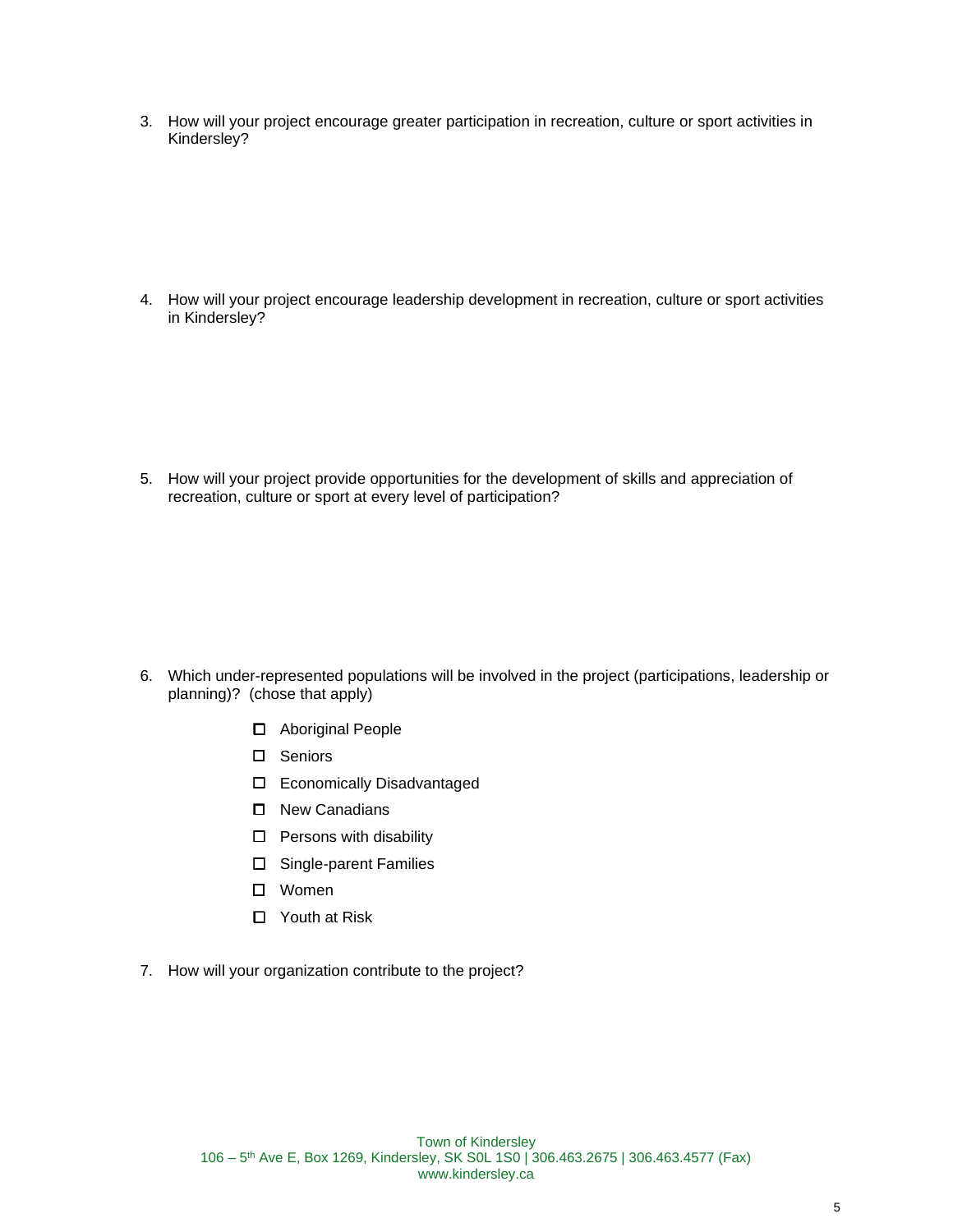3. How will your project encourage greater participation in recreation, culture or sport activities in Kindersley?

4. How will your project encourage leadership development in recreation, culture or sport activities in Kindersley?

5. How will your project provide opportunities for the development of skills and appreciation of recreation, culture or sport at every level of participation?

- 6. Which under-represented populations will be involved in the project (participations, leadership or planning)? (chose that apply)
	- Aboriginal People
	- Seniors
	- Economically Disadvantaged
	- □ New Canadians
	- $\Box$  Persons with disability
	- □ Single-parent Families
	- Women
	- □ Youth at Risk
- 7. How will your organization contribute to the project?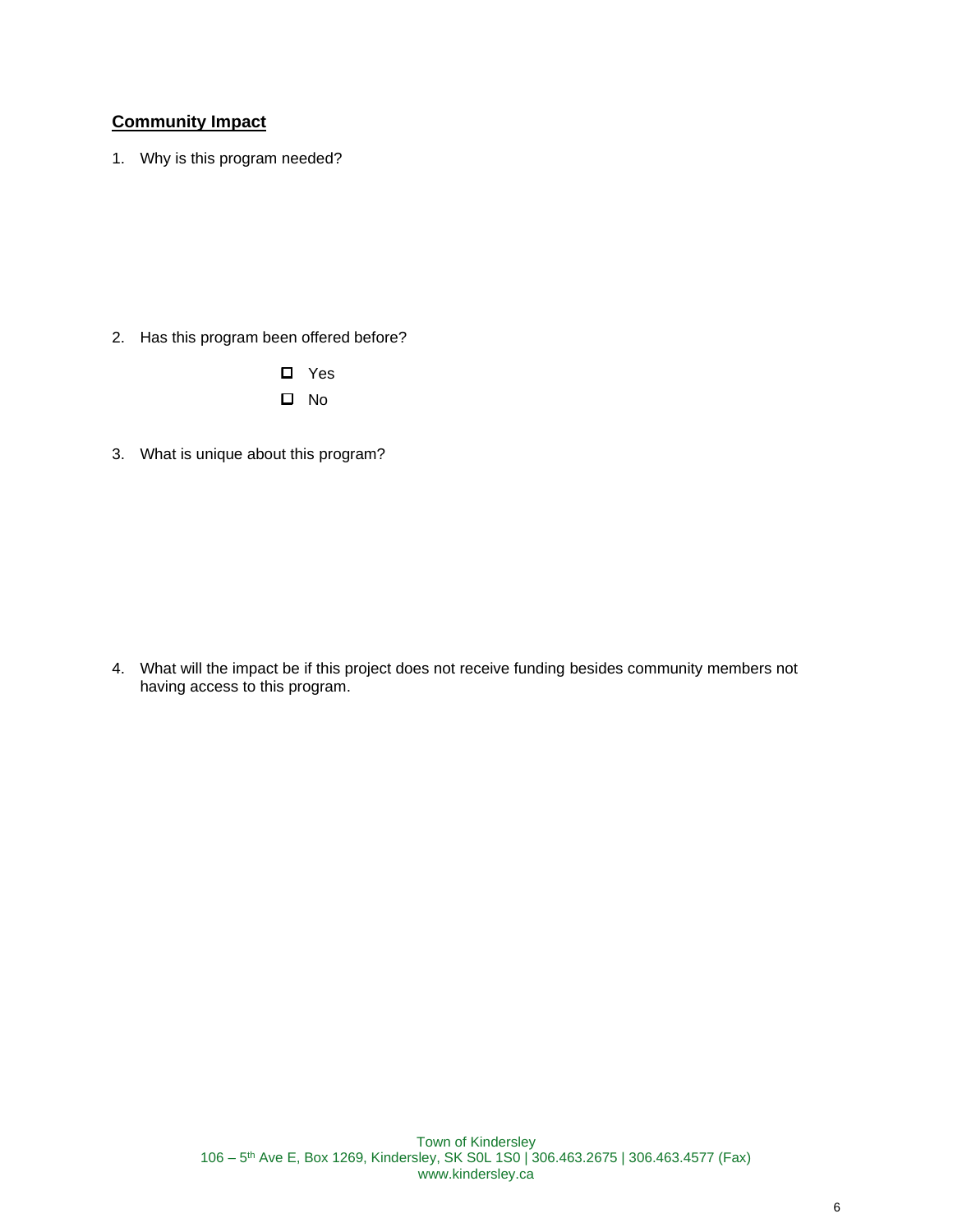# **Community Impact**

1. Why is this program needed?

- 2. Has this program been offered before?
	- □ Yes  $\square$  No
- 3. What is unique about this program?

4. What will the impact be if this project does not receive funding besides community members not having access to this program.